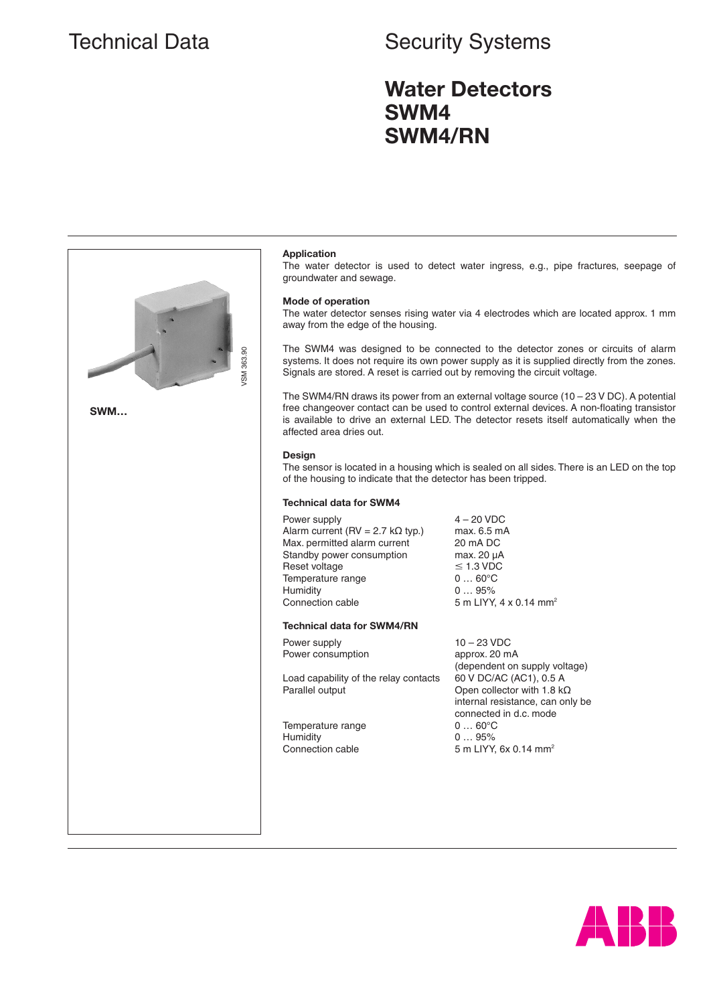## Technical Data **Security Systems**

## **Water Detectors SWM4 SWM4/RN**